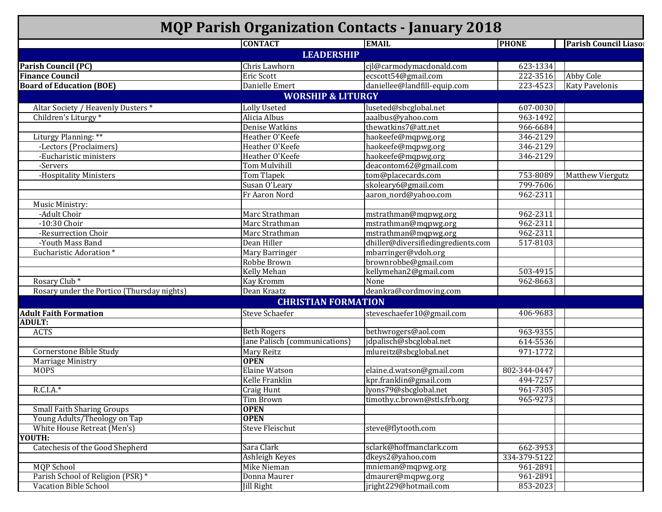| <b>MQP Parish Organization Contacts - January 2018</b> |                               |                                    |              |                              |  |  |
|--------------------------------------------------------|-------------------------------|------------------------------------|--------------|------------------------------|--|--|
|                                                        | <b>CONTACT</b>                | <b>EMAIL</b>                       | <b>PHONE</b> | <b>Parish Council Liasor</b> |  |  |
|                                                        | <b>LEADERSHIP</b>             |                                    |              |                              |  |  |
| <b>Parish Council (PC)</b>                             | Chris Lawhorn                 | cjl@carmodymacdonald.com           | 623-1334     |                              |  |  |
| <b>Finance Council</b>                                 | Eric Scott                    | ecscott54@gmail.com                | 222-3516     | <b>Abby Cole</b>             |  |  |
| <b>Board of Education (BOE)</b>                        | Danielle Emert                | daniellee@landfill-equip.com       | 223-4523     | <b>Katy Pavelonis</b>        |  |  |
|                                                        | <b>WORSHIP &amp; LITURGY</b>  |                                    |              |                              |  |  |
| Altar Society / Heavenly Dusters *                     | Lolly Useted                  | luseted@sbcglobal.net              | 607-0030     |                              |  |  |
| Children's Liturgy*                                    | Alicia Albus                  | aaalbus@yahoo.com                  | 963-1492     |                              |  |  |
|                                                        | Denise Watkins                | thewatkins7@att.net                | 966-6684     |                              |  |  |
| Liturgy Planning: **                                   | Heather O'Keefe               | haokeefe@mqpwg.org                 | 346-2129     |                              |  |  |
| -Lectors (Proclaimers)                                 | Heather O'Keefe               | haokeefe@mqpwg.org                 | 346-2129     |                              |  |  |
| -Eucharistic ministers                                 | Heather O'Keefe               | haokeefe@mqpwg.org                 | 346-2129     |                              |  |  |
|                                                        | <b>Tom Mulvihill</b>          | deacontom62@gmail.com              |              |                              |  |  |
| -Servers<br>-Hospitality Ministers                     |                               | tom@placecards.com                 | 753-8089     | <b>Matthew Viergutz</b>      |  |  |
|                                                        | Tom Tlapek<br>Susan O'Leary   | skoleary6@gmail.com                | 799-7606     |                              |  |  |
|                                                        |                               |                                    |              |                              |  |  |
|                                                        | Fr Aaron Nord                 | aaron_nord@yahoo.com               | 962-2311     |                              |  |  |
| Music Ministry:                                        |                               |                                    |              |                              |  |  |
| -Adult Choir                                           | Marc Strathman                | mstrathman@mqpwg.org               | 962-2311     |                              |  |  |
| $-10:30$ Choir                                         | Marc Strathman                | mstrathman@mqpwg.org               | 962-2311     |                              |  |  |
| -Resurrection Choir                                    | Marc Strathman                | mstrathman@mqpwg.org               | 962-2311     |                              |  |  |
| -Youth Mass Band                                       | Dean Hiller                   | dhiller@diversifiedingredients.com | 517-8103     |                              |  |  |
| Eucharistic Adoration*                                 | Mary Barringer                | mbarringer@vdoh.org                |              |                              |  |  |
|                                                        | Robbe Brown                   | brownrobbe@gmail.com               |              |                              |  |  |
|                                                        | Kelly Mehan                   | kellymehan2@gmail.com              | 503-4915     |                              |  |  |
| Rosary Club <sup>*</sup>                               | Kay Kromm                     | None                               | 962-8663     |                              |  |  |
| Rosary under the Portico (Thursday nights)             | Dean Kraatz                   | deankra@cordmoving.com             |              |                              |  |  |
|                                                        | <b>CHRISTIAN FORMATION</b>    |                                    |              |                              |  |  |
| <b>Adult Faith Formation</b>                           | <b>Steve Schaefer</b>         | steveschaefer10@gmail.com          | 406-9683     |                              |  |  |
| <b>ADULT:</b>                                          |                               |                                    |              |                              |  |  |
| <b>ACTS</b>                                            | <b>Beth Rogers</b>            | bethwrogers@aol.com                | 963-9355     |                              |  |  |
|                                                        | Jane Palisch (communications) | jdpalisch@sbcglobal.net            | 614-5536     |                              |  |  |
| <b>Cornerstone Bible Study</b>                         | Mary Reitz                    | mlureitz@sbcglobal.net             | 971-1772     |                              |  |  |
| <b>Marriage Ministry</b>                               | <b>OPEN</b>                   |                                    |              |                              |  |  |
| <b>MOPS</b>                                            | <b>Elaine Watson</b>          | elaine.d.watson@gmail.com          | 802-344-0447 |                              |  |  |
|                                                        | Kelle Franklin                | kpr.franklin@gmail.com             | 494-7257     |                              |  |  |
| $R.C.I.A.*$                                            | <b>Craig Hunt</b>             | lyons79@sbcglobal.net              | 961-7305     |                              |  |  |
|                                                        | Tim Brown                     | timothy.c.brown@stls.frb.org       | 965-9273     |                              |  |  |
| <b>Small Faith Sharing Groups</b>                      | <b>OPEN</b>                   |                                    |              |                              |  |  |
| Young Adults/Theology on Tap                           | <b>OPEN</b>                   |                                    |              |                              |  |  |
| White House Retreat (Men's)                            | <b>Steve Fleischut</b>        | steve@flytooth.com                 |              |                              |  |  |
| YOUTH:                                                 |                               |                                    |              |                              |  |  |
| Catechesis of the Good Shepherd                        | Sara Clark                    | sclark@hoffmanclark.com            | 662-3953     |                              |  |  |
|                                                        | Ashleigh Keyes                | dkeys2@yahoo.com                   | 334-379-5122 |                              |  |  |
| <b>MQP School</b>                                      | Mike Nieman                   | mnieman@mqpwg.org                  | 961-2891     |                              |  |  |
| Parish School of Religion (PSR) *                      | Donna Maurer                  | dmaurer@mqpwg.org                  | 961-2891     |                              |  |  |
| <b>Vacation Bible School</b>                           |                               | jright229@hotmail.com              |              |                              |  |  |
|                                                        | <b>Jill Right</b>             |                                    | 853-2023     |                              |  |  |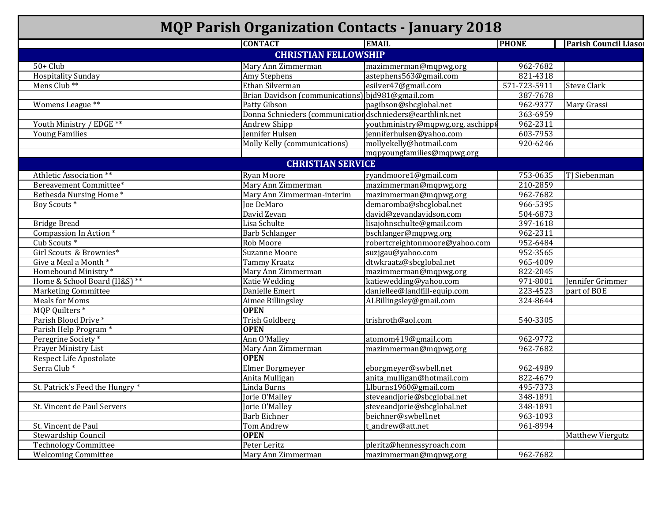| <b>MQP Parish Organization Contacts - January 2018</b> |                                                           |                                   |              |                         |  |  |
|--------------------------------------------------------|-----------------------------------------------------------|-----------------------------------|--------------|-------------------------|--|--|
|                                                        | <b>CONTACT</b>                                            | <b>EMAIL</b>                      | <b>PHONE</b> | Parish Council Liasor   |  |  |
|                                                        | <b>CHRISTIAN FELLOWSHIP</b>                               |                                   |              |                         |  |  |
| $50+$ Club                                             | Mary Ann Zimmerman                                        | mazimmerman@mqpwg.org             | 962-7682     |                         |  |  |
| <b>Hospitality Sunday</b>                              | Amy Stephens                                              | astephens563@gmail.com            | 821-4318     |                         |  |  |
| Mens Club <sup>**</sup>                                | Ethan Silverman                                           | esilver47@gmail.com               | 571-723-5911 | <b>Steve Clark</b>      |  |  |
|                                                        | Brian Davidson (communications) bjd981@gmail.com          |                                   | 387-7678     |                         |  |  |
| Womens League **                                       | Patty Gibson                                              | pagibson@sbcglobal.net            | 962-9377     | Mary Grassi             |  |  |
|                                                        | Donna Schnieders (communication dschnieders@earthlink.net |                                   | 363-6959     |                         |  |  |
| Youth Ministry / EDGE **                               | Andrew Shipp                                              | youthministry@mqpwg.org, aschipp( | 962-2311     |                         |  |  |
| <b>Young Families</b>                                  | Jennifer Hulsen                                           | jenniferhulsen@yahoo.com          | 603-7953     |                         |  |  |
|                                                        | Molly Kelly (communications)                              | mollyekelly@hotmail.com           | 920-6246     |                         |  |  |
|                                                        |                                                           | mqpyoungfamilies@mqpwg.org        |              |                         |  |  |
|                                                        | <b>CHRISTIAN SERVICE</b>                                  |                                   |              |                         |  |  |
| Athletic Association **                                | Ryan Moore                                                | ryandmoore1@gmail.com             | 753-0635     | TJ Siebenman            |  |  |
| Bereavement Committee*                                 | Mary Ann Zimmerman                                        | mazimmerman@mqpwg.org             | 210-2859     |                         |  |  |
| Bethesda Nursing Home*                                 | Mary Ann Zimmerman-interim                                | mazimmerman@mqpwg.org             | 962-7682     |                         |  |  |
| Boy Scouts <sup>*</sup>                                | Joe DeMaro                                                | demaromba@sbcglobal.net           | 966-5395     |                         |  |  |
|                                                        | David Zevan                                               | david@zevandavidson.com           | 504-6873     |                         |  |  |
| <b>Bridge Bread</b>                                    | Lisa Schulte                                              | lisajohnschulte@gmail.com         | 397-1618     |                         |  |  |
| Compassion In Action *                                 | <b>Barb Schlanger</b>                                     | bschlanger@mqpwg.org              | 962-2311     |                         |  |  |
| Cub Scouts <sup>*</sup>                                | Rob Moore                                                 | robertcreightonmoore@yahoo.com    | 952-6484     |                         |  |  |
| Girl Scouts & Brownies*                                | <b>Suzanne Moore</b>                                      | suzjgau@yahoo.com                 | 952-3565     |                         |  |  |
| Give a Meal a Month *                                  | Tammy Kraatz                                              | dtwkraatz@sbcglobal.net           | 965-4009     |                         |  |  |
| Homebound Ministry*                                    | Mary Ann Zimmerman                                        | mazimmerman@mqpwg.org             | 822-2045     |                         |  |  |
| Home & School Board (H&S) **                           | Katie Wedding                                             | katiewedding@yahoo.com            | 971-8001     | Jennifer Grimmer        |  |  |
| <b>Marketing Committee</b>                             | Danielle Emert                                            | daniellee@landfill-equip.com      | 223-4523     | part of BOE             |  |  |
| <b>Meals for Moms</b>                                  | Aimee Billingsley                                         | ALBillingsley@gmail.com           | 324-8644     |                         |  |  |
| MQP Quilters *                                         | <b>OPEN</b>                                               |                                   |              |                         |  |  |
| Parish Blood Drive*                                    | <b>Trish Goldberg</b>                                     | trishroth@aol.com                 | 540-3305     |                         |  |  |
| Parish Help Program *                                  | <b>OPEN</b>                                               |                                   |              |                         |  |  |
| Peregrine Society*                                     | Ann O'Malley                                              | atomom419@gmail.com               | 962-9772     |                         |  |  |
| <b>Prayer Ministry List</b>                            | Mary Ann Zimmerman                                        | mazimmerman@mqpwg.org             | 962-7682     |                         |  |  |
| <b>Respect Life Apostolate</b>                         | <b>OPEN</b>                                               |                                   |              |                         |  |  |
| Serra Club*                                            | Elmer Borgmeyer                                           | eborgmeyer@swbell.net             | 962-4989     |                         |  |  |
|                                                        | Anita Mulligan                                            | anita_mulligan@hotmail.com        | 822-4679     |                         |  |  |
| St. Patrick's Feed the Hungry *                        | Linda Burns                                               | Llburns1960@gmail.com             | 495-7373     |                         |  |  |
|                                                        | Jorie O'Malley                                            | steveandjorie@sbcglobal.net       | 348-1891     |                         |  |  |
| St. Vincent de Paul Servers                            | Jorie O'Malley                                            | steveandjorie@sbcglobal.net       | 348-1891     |                         |  |  |
|                                                        | Barb Eichner                                              | beichner@swbell.net               | 963-1093     |                         |  |  |
| St. Vincent de Paul                                    | Tom Andrew                                                | t_andrew@att.net                  | 961-8994     |                         |  |  |
| Stewardship Council                                    | <b>OPEN</b>                                               |                                   |              | <b>Matthew Viergutz</b> |  |  |
| <b>Technology Committee</b>                            | Peter Leritz                                              | pleritz@hennessyroach.com         |              |                         |  |  |
| <b>Welcoming Committee</b>                             | Mary Ann Zimmerman                                        | mazimmerman@mqpwg.org             | 962-7682     |                         |  |  |